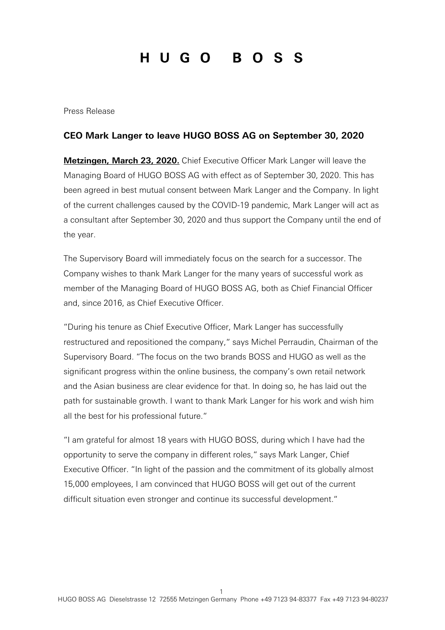## HUGO BOSS

Press Release

## **CEO Mark Langer to leave HUGO BOSS AG on September 30, 2020**

**Metzingen, March 23, 2020.** Chief Executive Officer Mark Langer will leave the Managing Board of HUGO BOSS AG with effect as of September 30, 2020. This has been agreed in best mutual consent between Mark Langer and the Company. In light of the current challenges caused by the COVID-19 pandemic, Mark Langer will act as a consultant after September 30, 2020 and thus support the Company until the end of the year.

The Supervisory Board will immediately focus on the search for a successor. The Company wishes to thank Mark Langer for the many years of successful work as member of the Managing Board of HUGO BOSS AG, both as Chief Financial Officer and, since 2016, as Chief Executive Officer.

"During his tenure as Chief Executive Officer, Mark Langer has successfully restructured and repositioned the company," says Michel Perraudin, Chairman of the Supervisory Board. "The focus on the two brands BOSS and HUGO as well as the significant progress within the online business, the company's own retail network and the Asian business are clear evidence for that. In doing so, he has laid out the path for sustainable growth. I want to thank Mark Langer for his work and wish him all the best for his professional future."

"I am grateful for almost 18 years with HUGO BOSS, during which I have had the opportunity to serve the company in different roles," says Mark Langer, Chief Executive Officer. "In light of the passion and the commitment of its globally almost 15,000 employees, I am convinced that HUGO BOSS will get out of the current difficult situation even stronger and continue its successful development."